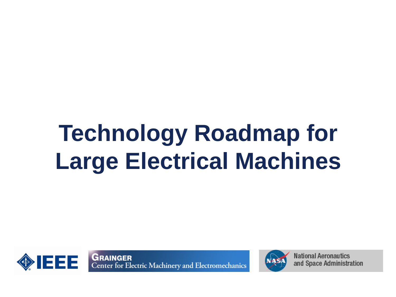### **Technology Roadmap for Large Electrical Machines**



**GRAINGER**<br>Center for Electric Machinery and Electromechanics



**National Aeronautics** and Space Administration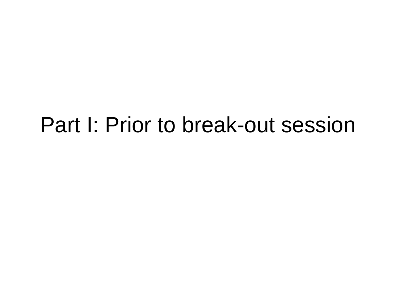#### Part I: Prior to break-out session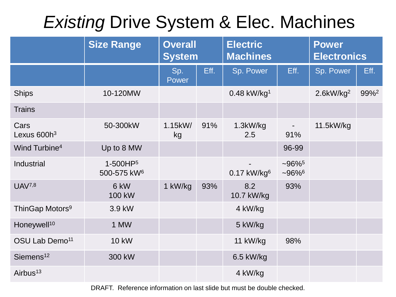#### *Existing* Drive System & Elec. Machines

|                                 | <b>Size Range</b>                               | <b>Overall</b><br><b>System</b> |      | <b>Electric</b><br><b>Machines</b> |                                              | <b>Power</b><br><b>Electronics</b> |                  |
|---------------------------------|-------------------------------------------------|---------------------------------|------|------------------------------------|----------------------------------------------|------------------------------------|------------------|
|                                 |                                                 | Sp.<br>Power                    | Eff. | Sp. Power                          | Eff.                                         | Sp. Power                          | Eff.             |
| <b>Ships</b>                    | 10-120MW                                        |                                 |      | $0.48$ kW/kg <sup>1</sup>          |                                              | $2.6$ kW/kg <sup>2</sup>           | 99% <sup>2</sup> |
| <b>Trains</b>                   |                                                 |                                 |      |                                    |                                              |                                    |                  |
| Cars<br>Lexus 600h <sup>3</sup> | 50-300kW                                        | 1.15kW/<br>kg                   | 91%  | $1.3$ k $W/kg$<br>2.5              | $\blacksquare$<br>91%                        | 11.5kW/kg                          |                  |
| Wind Turbine <sup>4</sup>       | Up to 8 MW                                      |                                 |      |                                    | 96-99                                        |                                    |                  |
| Industrial                      | 1-500HP <sup>5</sup><br>500-575 kW <sup>6</sup> |                                 |      | $0.17$ kW/kg <sup>6</sup>          | $-96\%$ <sup>5</sup><br>$-96\%$ <sup>6</sup> |                                    |                  |
| <b>UAV7,8</b>                   | 6 kW<br>100 kW                                  | 1 kW/kg                         | 93%  | 8.2<br>10.7 kW/kg                  | 93%                                          |                                    |                  |
| ThinGap Motors <sup>9</sup>     | 3.9 kW                                          |                                 |      | 4 kW/kg                            |                                              |                                    |                  |
| Honeywell <sup>10</sup>         | 1 MW                                            |                                 |      | 5 kW/kg                            |                                              |                                    |                  |
| OSU Lab Demo <sup>11</sup>      | <b>10 kW</b>                                    |                                 |      | 11 kW/kg                           | 98%                                          |                                    |                  |
| Siemens <sup>12</sup>           | 300 kW                                          |                                 |      | $6.5$ kW/kg                        |                                              |                                    |                  |
| Airbus <sup>13</sup>            |                                                 |                                 |      | 4 kW/kg                            |                                              |                                    |                  |

DRAFT. Reference information on last slide but must be double checked.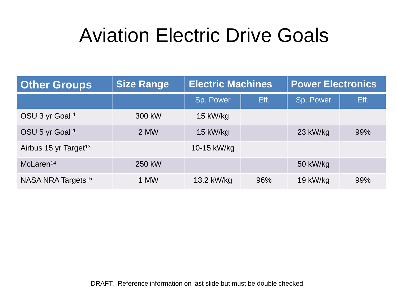#### Aviation Electric Drive Goals

| <b>Other Groups</b>               | <b>Size Range</b> | <b>Electric Machines</b> |      | <b>Power Electronics</b> |      |
|-----------------------------------|-------------------|--------------------------|------|--------------------------|------|
|                                   |                   | Sp. Power                | Eff. | Sp. Power                | Eff. |
| OSU 3 yr Goal <sup>11</sup>       | 300 kW            | 15 kW/kg                 |      |                          |      |
| OSU 5 yr Goal <sup>11</sup>       | 2 MW              | 15 kW/kg                 |      | 23 kW/kg                 | 99%  |
| Airbus 15 yr Target <sup>13</sup> |                   | 10-15 kW/kg              |      |                          |      |
| McLaren <sup>14</sup>             | 250 kW            |                          |      | 50 kW/kg                 |      |
| NASA NRA Targets <sup>15</sup>    | 1 MW              | 13.2 kW/kg               | 96%  | 19 kW/kg                 | 99%  |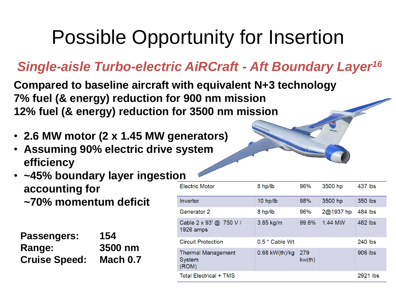#### Possible Opportunity for Insertion

#### *Single-aisle Turbo-electric AiRCraft - Aft Boundary Layer<sup>16</sup>*

**Compared to baseline aircraft with equivalent N+3 technology 7% fuel (& energy) reduction for 900 nm mission 12% fuel (& energy) reduction for 3500 nm mission**

- **2.6 MW motor (2 x 1.45 MW generators)**
- **Assuming 90% electric drive system efficiency**
- **~45% boundary layer ingestion accounting for ~70% momentum deficit**

| <b>Passengers:</b>   | 154             |
|----------------------|-----------------|
| Range:               | 3500 nm         |
| <b>Cruise Speed:</b> | <b>Mach 0.7</b> |

| <b>Electric Motor</b>                        | 8 hp/lb          | 96%           | 3500 hp   | 437 lbs   |
|----------------------------------------------|------------------|---------------|-----------|-----------|
| Inverter                                     | $10$ hp/lb       | 98%           | 3500 hp   | 350 lbs   |
| Generator 2                                  | 8 hp/lb          | 96%           | 2@1937 hp | 484 lbs   |
| Cable 2 x 93' @ 750 V /<br>1926 amps         | 3.85 kg/m        | 99.6%         | 1.44 MW   | 482 lbs   |
| <b>Circuit Protection</b>                    | $0.5 *$ Cable Wt |               |           | $240$ lbs |
| <b>Thermal Management</b><br>System<br>(ROM) | $0.68$ kW(th)/kg | 279<br>kw(th) |           | 906 lbs   |
| <b>Total Electrical + TMS</b>                |                  |               |           | 2921 lbs  |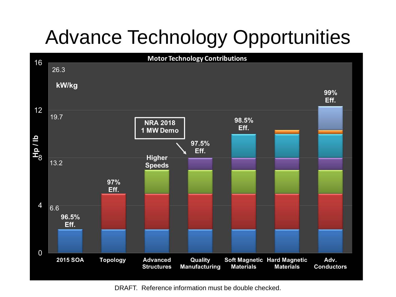### Advance Technology Opportunities



DRAFT. Reference information must be double checked.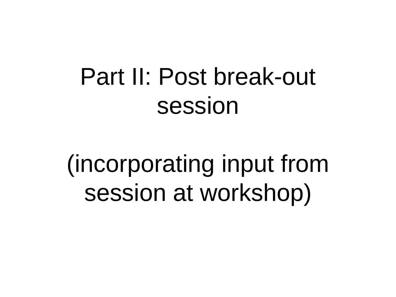### Part II: Post break-out session

(incorporating input from session at workshop)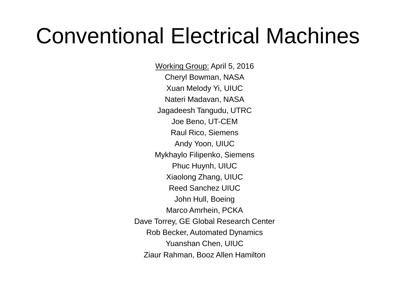### Conventional Electrical Machines

Working Group: April 5, 2016 Cheryl Bowman, NASA Xuan Melody Yi, UIUC Nateri Madavan, NASA Jagadeesh Tangudu, UTRC Joe Beno, UT-CEM Raul Rico, Siemens Andy Yoon, UIUC Mykhaylo Filipenko, Siemens Phuc Huynh, UIUC Xiaolong Zhang, UIUC Reed Sanchez UIUC John Hull, Boeing Marco Amrhein, PCKA Dave Torrey, GE Global Research Center Rob Becker, Automated Dynamics Yuanshan Chen, UIUC Ziaur Rahman, Booz Allen Hamilton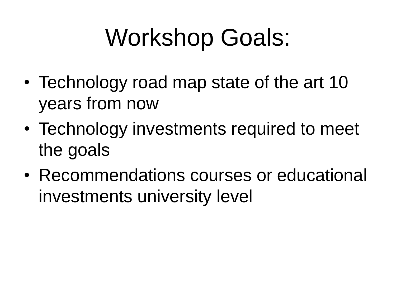# Workshop Goals:

- Technology road map state of the art 10 years from now
- Technology investments required to meet the goals
- Recommendations courses or educational investments university level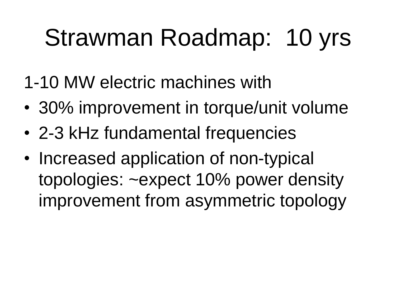# Strawman Roadmap: 10 yrs

- 1-10 MW electric machines with
- 30% improvement in torque/unit volume
- 2-3 kHz fundamental frequencies
- Increased application of non-typical topologies: ~expect 10% power density improvement from asymmetric topology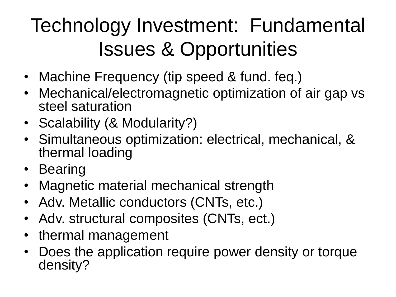### Technology Investment: Fundamental Issues & Opportunities

- Machine Frequency (tip speed & fund. feq.)
- Mechanical/electromagnetic optimization of air gap vs steel saturation
- Scalability (& Modularity?)
- Simultaneous optimization: electrical, mechanical, & thermal loading
- Bearing
- Magnetic material mechanical strength
- Adv. Metallic conductors (CNTs, etc.)
- Adv. structural composites (CNTs, ect.)
- thermal management
- Does the application require power density or torque density?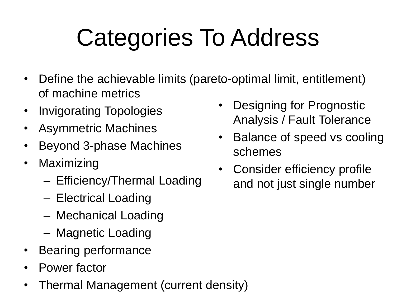# Categories To Address

- Define the achievable limits (pareto-optimal limit, entitlement) of machine metrics
- Invigorating Topologies
- Asymmetric Machines
- Beyond 3-phase Machines
- Maximizing
	- Efficiency/Thermal Loading
	- Electrical Loading
	- Mechanical Loading
	- Magnetic Loading
- Bearing performance
- Power factor
- Thermal Management (current density)
- Designing for Prognostic Analysis / Fault Tolerance
- Balance of speed vs cooling schemes
- Consider efficiency profile and not just single number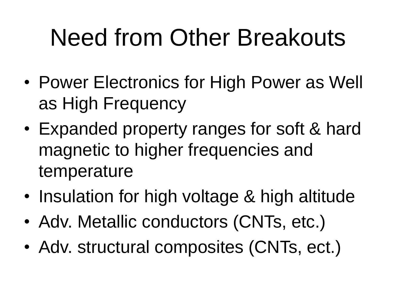# Need from Other Breakouts

- Power Electronics for High Power as Well as High Frequency
- Expanded property ranges for soft & hard magnetic to higher frequencies and temperature
- Insulation for high voltage & high altitude
- Adv. Metallic conductors (CNTs, etc.)
- Adv. structural composites (CNTs, ect.)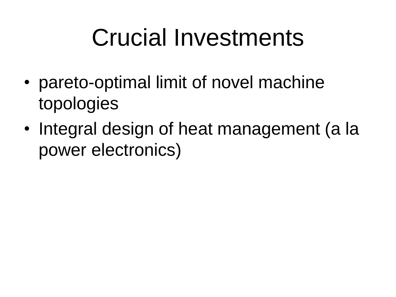### Crucial Investments

- pareto-optimal limit of novel machine topologies
- Integral design of heat management (a la power electronics)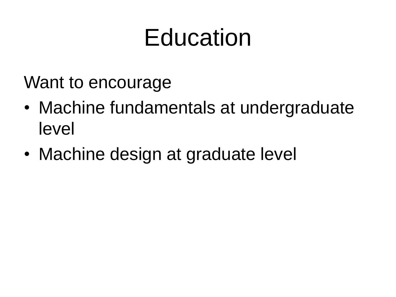### Education

Want to encourage

- Machine fundamentals at undergraduate level
- Machine design at graduate level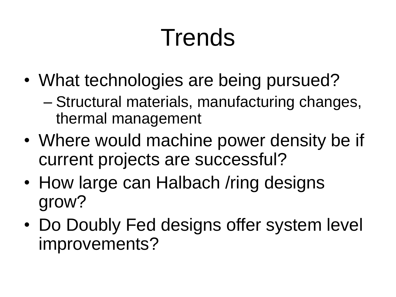# **Trends**

- What technologies are being pursued?
	- Structural materials, manufacturing changes, thermal management
- Where would machine power density be if current projects are successful?
- How large can Halbach / ring designs grow?
- Do Doubly Fed designs offer system level improvements?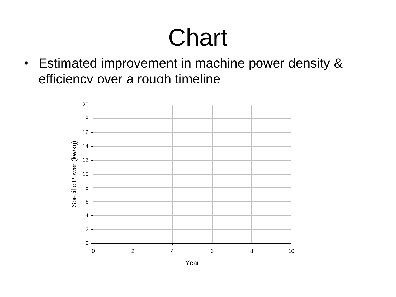### **Chart**

• Estimated improvement in machine power density & efficiency over a rough timeline



Year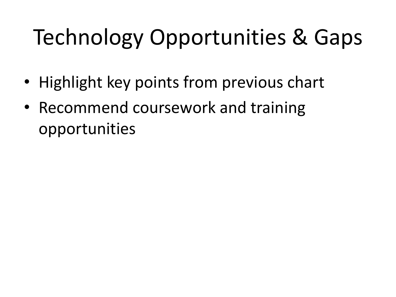### Technology Opportunities & Gaps

- Highlight key points from previous chart
- Recommend coursework and training opportunities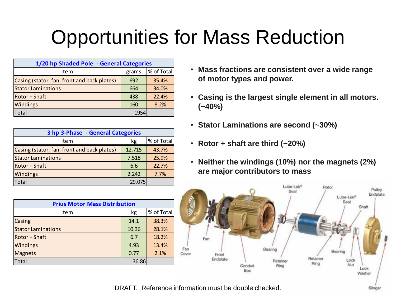### Opportunities for Mass Reduction

| 1/20 hp Shaded Pole - General Categories    |       |            |  |  |
|---------------------------------------------|-------|------------|--|--|
| Item                                        | grams | % of Total |  |  |
| Casing (stator, fan, front and back plates) | 692   | 35.4%      |  |  |
| <b>Stator Laminations</b>                   | 664   | 34.0%      |  |  |
| Rotor + Shaft                               | 438   | 22.4%      |  |  |
| Windings                                    | 160   | 8.2%       |  |  |
| Total                                       | 1954  |            |  |  |

| 3 hp 3-Phase - General Categories           |        |            |  |
|---------------------------------------------|--------|------------|--|
| Item                                        | kg     | % of Total |  |
| Casing (stator, fan, front and back plates) | 12.715 | 43.7%      |  |
| <b>Stator Laminations</b>                   | 7.518  | 25.9%      |  |
| Rotor + Shaft                               | 6.6    | 22.7%      |  |
| Windings                                    | 2.242  | 7.7%       |  |
| <b>Total</b>                                | 29.075 |            |  |

| <b>Prius Motor Mass Distribution</b> |       |            |  |  |
|--------------------------------------|-------|------------|--|--|
| Item                                 | kg    | % of Total |  |  |
| Casing                               | 14.1  | 38.3%      |  |  |
| <b>Stator Laminations</b>            | 10.36 | 28.1%      |  |  |
| Rotor + Shaft                        | 6.7   | 18.2%      |  |  |
| Windings                             | 4.93  | 13.4%      |  |  |
| <b>Magnets</b>                       | 0.77  | 2.1%       |  |  |
| Total                                | 36.86 |            |  |  |

- **Mass fractions are consistent over a wide range of motor types and power.**
- **Casing is the largest single element in all motors. (~40%)**
- **Stator Laminations are second (~30%)**
- **Rotor + shaft are third (~20%)**
- **Neither the windings (10%) nor the magnets (2%) are major contributors to mass**



DRAFT. Reference information must be double checked.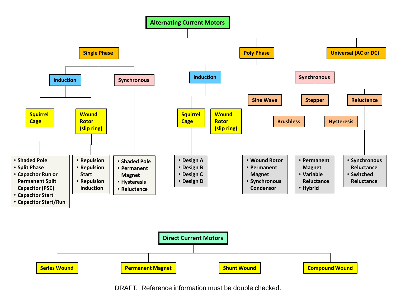



DRAFT. Reference information must be double checked.